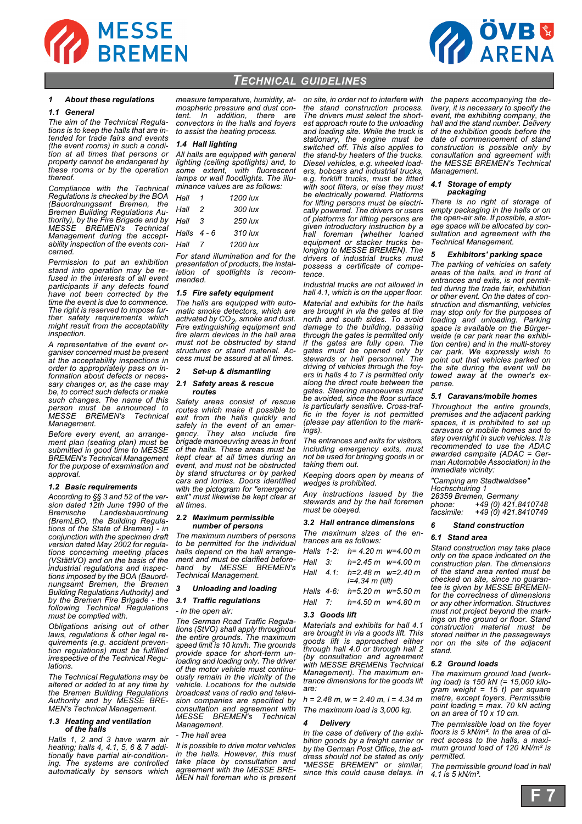



# *TECHNICAL GUIDELINES*

# *1 About these regulations*

# *1.1 General*

*The aim of the Technical Regulations is to keep the halls that are intended for trade fairs and events (the event rooms) in such a condition at all times that persons or property cannot be endangered by these rooms or by the operation thereof.*

*Compliance with the Technical Regulations is checked by the BOA (Bauordnungsamt Bremen, the Bremen Building Regulations Authority), by the Fire Brigade and by MESSE BREMEN's Technical Management during the acceptability inspection of the events concerned.*

*Permission to put an exhibition stand into operation may be refused in the interests of all event participants if any defects found have not been corrected by the time the event is due to commence. The right is reserved to impose further safety requirements which might result from the acceptability inspection.*

*A representative of the event organiser concerned must be present at the acceptability inspections in order to appropriately pass on information about defects or necessary changes or, as the case may be, to correct such defects or make such changes. The name of this person must be announced to MESSE BREMEN's Technical Management.* 

*Before every event, an arrangement plan (seating plan) must be submitted in good time to MESSE BREMEN's Technical Management for the purpose of examination and approval.*

# *1.2 Basic requirements*

*According to §§ 3 and 52 of the version dated 12th June 1990 of the Bremische Landesbauordnung (BremLBO, the Building Regulations of the State of Bremen) - in conjunction with the specimen draft version dated May 2002 for regulations concerning meeting places (VStättVO) and on the basis of the industrial regulations and inspections imposed by the BOA (Bauordnungsamt Bremen, the Bremen Building Regulations Authority) and by the Bremen Fire Brigade - the following Technical Regulations must be complied with.* 

*Obligations arising out of other laws, regulations & other legal requirements (e.g. accident prevention regulations) must be fulfilled irrespective of the Technical Regulations.* 

*The Technical Regulations may be altered or added to at any time by the Bremen Building Regulations Authority and by MESSE BRE-MEN's Technical Management.*

### *1.3 Heating and ventilation of the halls*

*Halls 1, 2 and 3 have warm air heating; halls 4, 4.1, 5, 6 & 7 additionally have partial air-conditioning. The systems are controlled automatically by sensors which*

*measure temperature, humidity, atmospheric pressure and dust content. In addition, there are convectors in the halls and foyers to assist the heating process.*

## *1.4 Hall lighting*

*All halls are equipped with general lighting (ceiling spotlights) and, to some extent, with fluorescent lamps or wall floodlights. The illuminance values are as follows:*

| Hall        |     | 1200 lux  |
|-------------|-----|-----------|
| Hall        | - 2 | $300$ lux |
| Hall        | 3   | 250 lux   |
| Halls $4-6$ |     | $310$ lux |
| Hall        | -7  | 1200 lux  |
|             |     |           |

*For stand illumination and for the presentation of products, the installation of spotlights is recommended.*

## *1.5 Fire safety equipment*

*The halls are equipped with automatic smoke detectors, which are activated by CO2 , smoke and dust. Fire extinguishing equipment and fire alarm devices in the hall area must not be obstructed by stand structures or stand material. Access must be assured at all times.*

# *2 Set-up & dismantling*

#### *2.1 Safety areas & rescue routes*

*Safety areas consist of rescue routes which make it possible to exit from the halls quickly and safely in the event of an emergency. They also include fire brigade manoeuvring areas in front of the halls. These areas must be kept clear at all times during an event, and must not be obstructed by stand structures or by parked cars and lorries. Doors identified with the pictogram for "emergency exit" must likewise be kept clear at all times.*

## *2.2 Maximum permissible number of persons*

*The maximum numbers of persons to be permitted for the individual halls depend on the hall arrangement and must be clarified beforehand by MESSE BREMEN's Technical Management.*

## *3 Unloading and loading*

# *3.1 Traffic regulations*

*- In the open air:*

*The German Road Traffic Regulations (StVO) shall apply throughout the entire grounds. The maximum speed limit is 10 km/h. The grounds provide space for short-term unloading and loading only. The driver of the motor vehicle must continuously remain in the vicinity of the vehicle. Locations for the outside broadcast vans of radio and television companies are specified by consultation and agreement with MESSE BREMEN's Technical Management.* 

## *- The hall area*

*It is possible to drive motor vehicles in the halls. However, this must take place by consultation and agreement with the MESSE BRE-MEN hall foreman who is present*

*on site, in order not to interfere with the stand construction process. The drivers must select the shortest approach route to the unloading and loading site. While the truck is stationary, the engine must be switched off. This also applies to the stand-by heaters of the trucks. Diesel vehicles, e.g. wheeled loaders, bobcars and industrial trucks, e.g. forklift trucks, must be fitted with soot filters, or else they must be electrically powered. Platforms for lifting persons must be electrically powered. The drivers or users of platforms for lifting persons are given introductory instruction by a hall foreman (whether loaned equipment or stacker trucks belonging to MESSE BREMEN). The drivers of industrial trucks must possess a certificate of competence.*

*Industrial trucks are not allowed in hall 4.1, which is on the upper floor. Material and exhibits for the halls are brought in via the gates at the north and south sides. To avoid damage to the building, passing through the gates is permitted only if the gates are fully open. The gates must be opened only by stewards or hall personnel. The driving of vehicles through the foyers in halls 4 to 7 is permitted only along the direct route between the gates. Steering manoeuvres must be avoided, since the floor surface is particularly sensitive. Cross-traffic in the foyer is not permitted (please pay attention to the markings).*

*The entrances and exits for visitors, including emergency exits, must not be used for bringing goods in or taking them out.* 

*Keeping doors open by means of wedges is prohibited.*

*Any instructions issued by the stewards and by the hall foremen must be obeyed.*

#### *3.2 Hall entrance dimensions*

*The maximum sizes of the entrances are as follows: Halls 1-2: h= 4.20 m w=4.00 m*

|  | Halls T-2. TI− 4.20 III W−4.00 III                  |  |
|--|-----------------------------------------------------|--|
|  | Hall $3: h=2.45 m$ w=4.00 m                         |  |
|  | Hall $4.1$ : h=2.48 m w=2.40 m<br>$I=4.34$ m (lift) |  |
|  | Halls $4-6$ : $h=5.20$ m $w=5.50$ m                 |  |

*Hall 7: h=4.50 m w=4.80 m*

## *3.3 Goods lift*

*Materials and exhibits for hall 4.1 are brought in via a goods lift. This goods lift is approached either through hall 4.0 or through hall 2 (by consultation and agreement with MESSE BREMENs Technical Management). The maximum entrance dimensions for the goods lift are:* 

*h = 2.48 m, w = 2.40 m, l = 4.34 m The maximum load is 3,000 kg.*

# *4 Delivery*

*In the case of delivery of the exhibition goods by a freight carrier or by the German Post Office, the address should not be stated as only "MESSE BREMEN" or similar, since this could cause delays. In* *the papers accompanying the delivery, it is necessary to specify the event, the exhibiting company, the hall and the stand number. Delivery of the exhibition goods before the date of commencement of stand construction is possible only by consultation and agreement with the MESSE BREMEN's Technical Management.*

#### *4.1 Storage of empty packaging*

*There is no right of storage of empty packaging in the halls or on the open-air site. If possible, a storage space will be allocated by consultation and agreement with the Technical Management.* 

## *5 Exhibitors' parking space*

*The parking of vehicles on safety areas of the halls, and in front of entrances and exits, is not permitted during the trade fair, exhibition or other event. On the dates of construction and dismantling, vehicles may stop only for the purposes of loading and unloading. Parking space is available on the Bürgerweide (a car park near the exhibition centre) and in the multi-storey car park. We expressly wish to point out that vehicles parked on the site during the event will be towed away at the owner's expense.*

#### *5.1 Caravans/mobile homes*

*Throughout the entire grounds, premises and the adjacent parking spaces, it is prohibited to set up caravans or mobile homes and to stay overnight in such vehicles. It is recommended to use the ADAC awarded campsite (ADAC = German Automobile Association) in the immediate vicinity:*

*"Camping am Stadtwaldsee" Hochschulring 1 28359 Bremen, Germany phone: +49 (0) 421.8410748 facsimile: +49 (0) 421.8410749*

#### *6 Stand construction*

## *6.1 Stand area*

*Stand construction may take place only on the space indicated on the construction plan. The dimensions of the stand area rented must be checked on site, since no guarantee is given by MESSE BREMENfor the correctness of dimensions or any other information. Structures must not project beyond the markings on the ground or floor. Stand construction material must be stored neither in the passageways nor on the site of the adjacent stand.*

## *6.2 Ground loads*

*The maximum ground load (working load) is 150 kN (= 15,000 kilogram weight = 15 t) per square metre, except foyers. Permissible point loading = max. 70 kN acting on an area of 10 x 10 cm.*

*The permissible load on the foyer floors is 5 kN/m². In the area of direct access to the halls, a maximum ground load of 120 kN/m² is permitted.*

*The permissible ground load in hall 4.1 is 5 kN/m².*

**F 7**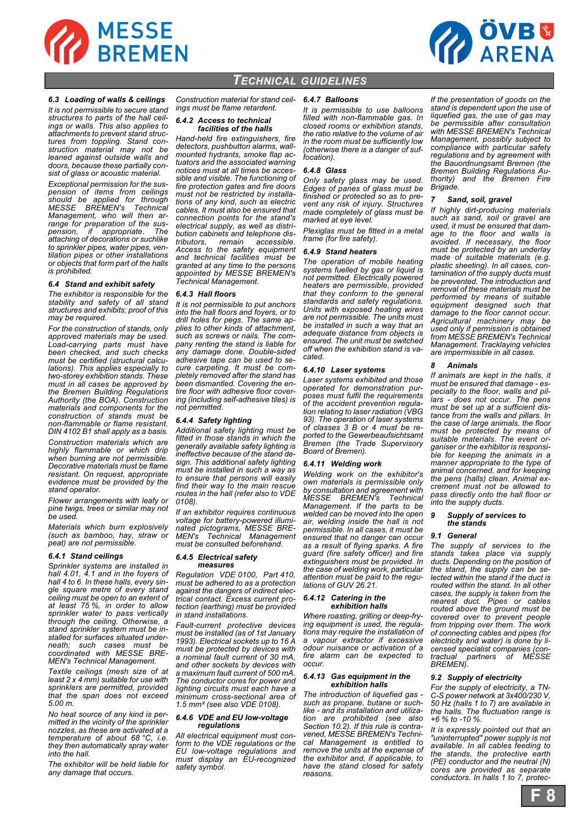



# *TECHNICAL GUIDELINES*

# *6.3 Loading of walls & ceilings*

*It is not permissible to secure stand structures to parts of the hall ceilings or walls. This also applies to attachments to prevent stand structures from toppling. Stand construction material may not be leaned against outside walls and doors, because these partially consist of glass or acoustic material.*

*Exceptional permission for the suspension of items from ceilings should be applied for through MESSE BREMEN's Technical Management, who will then arrange for preparation of the suspension, if appropriate. The attaching of decorations or suchlike to sprinkler pipes, water pipes, ventilation pipes or other installations or objects that form part of the halls is prohibited.*

#### *6.4 Stand and exhibit safety*

*The exhibitor is responsible for the stability and safety of all stand structures and exhibits; proof of this may be required.*

*For the construction of stands, only approved materials may be used. Load-carrying parts must have been checked, and such checks must be certified (structural calculations). This applies especially to two-storey exhibition stands. These must in all cases be approved by the Bremen Building Regulations Authority (the BOA). Construction materials and components for the construction of stands must be non-flammable or flame resistant. DIN 4102 B1 shall apply as a basis.*

*Construction materials which are highly flammable or which drip when burning are not permissible. Decorative materials must be flame resistant. On request, appropriate evidence must be provided by the stand operator.*

*Flower arrangements with leafy or pine twigs, trees or similar may not be used.* 

*Materials which burn explosively (such as bamboo, hay, straw or peat) are not permissible.*

### *6.4.1 Stand ceilings*

*Sprinkler systems are installed in hall 4.01, 4.1 and in the foyers of hall 4 to 6. In these halls, every single square metre of every stand ceiling must be open to an extent of at least 75 %, in order to allow sprinkler water to pass vertically through the ceiling. Otherwise, a stand sprinkler system must be installed for surfaces situated underneath; such cases must be coordinated with MESSE BRE-MEN's Technical Management.*

*Textile ceilings (mesh size of at least 2 x 4 mm) suitable for use with sprinklers are permitted, provided that the span does not exceed 5.00 m.* 

*No heat source of any kind is permitted in the vicinity of the sprinkler nozzles, as these are activated at a temperature of about 68 °C, i.e. they then automatically spray water into the hall.*

*The exhibitor will be held liable for any damage that occurs.*

*Construction material for stand ceilings must be flame retardent.*

### *6.4.2 Access to technical facilities of the halls*

*Hand-held fire extinguishers, fire detectors, pushbutton alarms, wallmounted hydrants, smoke flap actuators and the associated warning notices must at all times be accessible and visible. The functioning of fire protection gates and fire doors must not be restricted by installations of any kind, such as electric cables. It must also be ensured that connection points for the stand's electrical supply, as well as distribution cabinets and telephone distributors, remain accessible. Access to the safety equipment and technical facilities must be granted at any time to the persons appointed by MESSE BREMEN's Technical Management.*

## *6.4.3 Hall floors*

*It is not permissible to put anchors into the hall floors and foyers, or to drill holes for pegs. The same applies to other kinds of attachment, such as screws or nails. The company renting the stand is liable for any damage done. Double-sided adhesive tape can be used to secure carpeting. It must be completely removed after the stand has been dismantled. Covering the entire floor with adhesive floor covering (including self-adhesive tiles) is not permitted.*

# *6.4.4 Safety lighting*

*Additional safety lighting must be fitted in those stands in which the generally available safety lighting is ineffective because of the stand design. This additional safety lighting must be installed in such a way as to ensure that persons will easily find their way to the main rescue routes in the hall (refer also to VDE 0108).*

*If an exhibitor requires continuous voltage for battery-powered illuminated pictograms, MESSE BRE-MEN's Technical Management must be consulted beforehand.*

#### *6.4.5 Electrical safety measures*

*Regulation VDE 0100, Part 410, must be adhered to as a protection against the dangers of indirect electrical contact. Excess current protection (earthing) must be provided in stand installations.* 

*Fault-current protective devices must be installed (as of 1st January 1993). Electrical sockets up to 16 A must be protected by devices with a nominal fault current of 30 mA, and other sockets by devices with a maximum fault current of 500 mA. The conductor cores for power and lighting circuits must each have a minimum cross-sectional area of 1.5 mm² (see also VDE 0108).*

#### *6.4.6 VDE and EU low-voltage regulations*

*All electrical equipment must conform to the VDE regulations or the EU low-voltage regulations and must display an EU-recognized safety symbol.*

#### *6.4.7 Balloons*

*It is permissible to use balloons filled with non-flammable gas. In closed rooms or exhibition stands, the ratio relative to the volume of air in the room must be sufficiently low (otherwise there is a danger of suffocation).*

## *6.4.8 Glass*

*Only safety glass may be used. Edges of panes of glass must be finished or protected so as to prevent any risk of injury. Structures made completely of glass must be marked at eye level.* 

*Plexiglas must be fitted in a metal frame (for fire safety).*

# *6.4.9 Stand heaters*

*The operation of mobile heating systems fuelled by gas or liquid is not permitted. Electrically powered heaters are permissible, provided that they conform to the general standards and safety regulations. Units with exposed heating wires are not permissible. The units must be installed in such a way that an adequate distance from objects is ensured. The unit must be switched off when the exhibition stand is vacated.*

## *6.4.10 Laser systems*

*Laser systems exhibited and those operated for demonstration purposes must fulfil the requirements of the accident prevention regulation relating to laser radiation (VBG 93). The operation of laser systems of classes 3 B or 4 must be reported to the Gewerbeaufsichtsamt Bremen (the Trade Supervisory Board of Bremen).*

## *6.4.11 Welding work*

*Welding work on the exhibitor's own materials is permissible only by consultation and agreement with MESSE BREMEN's Technical Management. If the parts to be welded can be moved into the open air, welding inside the hall is not permissible. In all cases, it must be ensured that no danger can occur as a result of flying sparks. A fire guard (fire safety officer) and fire extinguishers must be provided. In the case of welding work, particular attention must be paid to the regulations of GUV 26.21.*

#### *6.4.12 Catering in the exhibition halls*

*Where roasting, grilling or deep-frying equipment is used, the regulations may require the installation of a vapour extractor if excessive odour nuisance or activation of a fire alarm can be expected to occur.*

## *6.4.13 Gas equipment in the exhibition halls*

*The introduction of liquefied gas such as propane, butane or suchlike - and its installation and utilization are prohibited (see also Section 10.2). If this rule is contravened, MESSE BREMEN's Technical Management is entitled to remove the units at the expense of the exhibitor and, if applicable, to have the stand closed for safety reasons.*

*If the presentation of goods on the stand is dependent upon the use of liquefied gas, the use of gas may be permissible after consultation with MESSE BREMEN's Technical Management, possibly subject to compliance with particular safety regulations and by agreement with the Bauordnungsamt Bremen (the Bremen Building Regulations Authority) and the Bremen Fire Brigade.*

# *7 Sand, soil, gravel*

*If highly dirt-producing materials such as sand, soil or gravel are used, it must be ensured that damage to the floor and walls is avoided. If necessary, the floor must be protected by an underlay made of suitable materials (e.g. plastic sheeting). In all cases, contamination of the supply ducts must be prevented. The introduction and removal of these materials must be performed by means of suitable equipment designed such that damage to the floor cannot occur. Agricultural machinery may be used only if permission is obtained from MESSE BREMEN's Technical Management. Tracklaying vehicles are impermissible in all cases.*

## *8 Animals*

*If animals are kept in the halls, it must be ensured that damage - especially to the floor, walls and pillars - does not occur. The pens must be set up at a sufficient distance from the walls and pillars. In the case of large animals, the floor must be protected by means of suitable materials. The event organiser or the exhibitor is responsible for keeping the animals in a manner appropriate to the type of animal concerned, and for keeping the pens (halls) clean. Animal excrement must not be allowed to pass directly onto the hall floor or into the supply ducts.*

### *9 Supply of services to the stands*

### *9.1 General*

*The supply of services to the stands takes place via supply ducts. Depending on the position of the stand, the supply can be selected within the stand if the duct is routed within the stand. In all other cases, the supply is taken from the nearest duct. Pipes or cables routed above the ground must be covered over to prevent people from tripping over them. The work of connecting cables and pipes (for electricity and water) is done by licensed specialist companies (contractual partners of MESSE BREMEN).*

## *9.2 Supply of electricity*

*For the supply of electricity, a TN-C-S power network at 3x400/230 V, 50 Hz (halls 1 to 7) are available in the halls. The fluctuation range is +6 % to -10 %.*

*It is expressly pointed out that an "uninterrupted" power supply is not available. In all cables feeding to the stands, the protective earth (PE) conductor and the neutral (N) cores are provided as separate conductors. In halls 1 to 7, protec-*